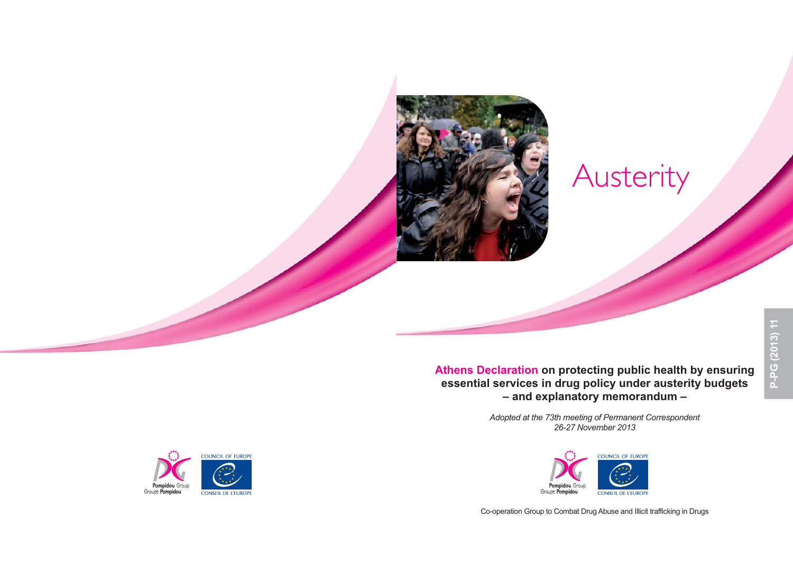# Austerity

**Athens Declaration on protecting public health by ensuring essential services in drug policy under austerity budgets – and explanatory memorandum –**

> *Adopted at the 73th meeting of Permanent Correspondent 26-27 November 2013*



Co-operation Group to Combat Drug Abuse and Illicit trafficking in Drugs

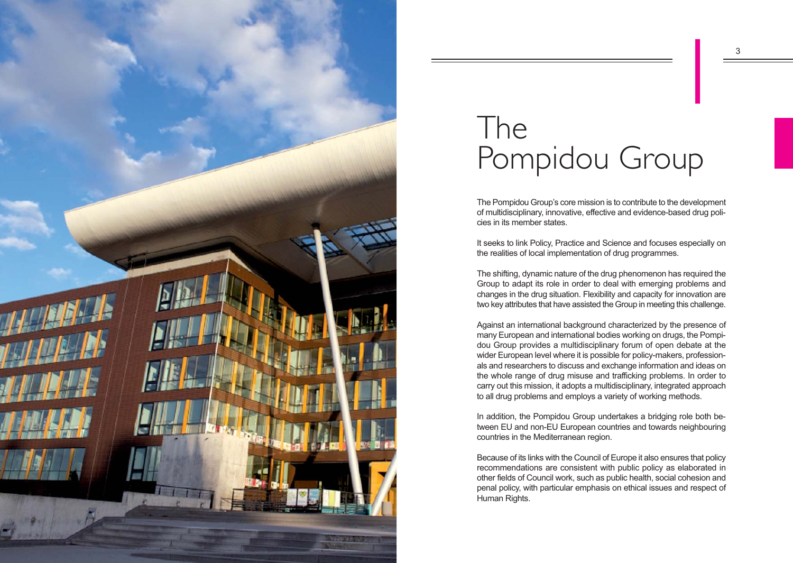

# The Pompidou Group  $\begin{array}{|c|c|} \hline \multicolumn{1}{|c|}{3} \\\hline \multicolumn{1}{|c|}{4} \\\hline \multicolumn{1}{|c|}{5} \\\hline \multicolumn{1}{|c|}{5} \\\hline \multicolumn{1}{|c|}{5} \\\hline \multicolumn{1}{|c|}{5} \\\hline \multicolumn{1}{|c|}{5} \\\hline \multicolumn{1}{|c|}{5} \\\hline \multicolumn{1}{|c|}{5} \\\hline \multicolumn{1}{|c|}{5} \\\hline \multicolumn{1}{|c|}{5} \\\hline \multicolumn{1}{|c|}{5} \\\hline \mult$

The Pompidou Group's core mission is to contribute to the development of multidisciplinary, innovative, effective and evidence-based drug policies in its member states.

It seeks to link Policy, Practice and Science and focuses especially on the realities of local implementation of drug programmes.

The shifting, dynamic nature of the drug phenomenon has required the Group to adapt its role in order to deal with emerging problems and changes in the drug situation. Flexibility and capacity for innovation are two key attributes that have assisted the Group in meeting this challenge.

Against an international background characterized by the presence of many European and international bodies working on drugs, the Pompidou Group provides a multidisciplinary forum of open debate at the wider European level where it is possible for policy-makers, professionals and researchers to discuss and exchange information and ideas on the whole range of drug misuse and trafficking problems. In order to carry out this mission, it adopts a multidisciplinary, integrated approach to all drug problems and employs a variety of working methods.

In addition, the Pompidou Group undertakes a bridging role both between EU and non-EU European countries and towards neighbouring countries in the Mediterranean region.

Because of its links with the Council of Europe it also ensures that policy recommendations are consistent with public policy as elaborated in other fields of Council work, such as public health, social cohesion and penal policy, with particular emphasis on ethical issues and respect of Human Rights.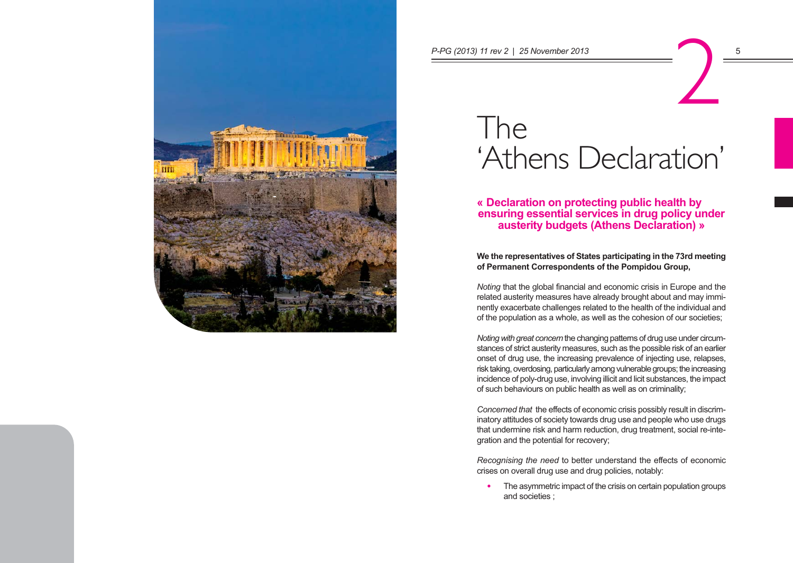

# The 'Athens Declaration' P-PG (2013) 11 rev 2 | 25 November 2013<br>
The contract of the contract of the contract of the contract of the contract of the contract of the contract of the contract of the contract of the contract of the contract of the c

**« Declaration on protecting public health by ensuring essential services in drug policy under austerity budgets (Athens Declaration) »** 

**We the representatives of States participating in the 73rd meeting of Permanent Correspondents of the Pompidou Group,** 

*Noting* that the global financial and economic crisis in Europe and the related austerity measures have already brought about and may imminently exacerbate challenges related to the health of the individual and of the population as a whole, as well as the cohesion of our societies;

*Noting with great concern* the changing patterns of drug use under circumstances of strict austerity measures, such as the possible risk of an earlier onset of drug use, the increasing prevalence of injecting use, relapses, risk taking, overdosing, particularly among vulnerable groups; the increasing incidence of poly-drug use, involving illicit and licit substances, the impact of such behaviours on public health as well as on criminality;

*Concerned that* the effects of economic crisis possibly result in discriminatory attitudes of society towards drug use and people who use drugs that undermine risk and harm reduction, drug treatment, social re-integration and the potential for recovery;

*Recognising the need* to better understand the effects of economic crises on overall drug use and drug policies, notably:

• The asymmetric impact of the crisis on certain population groups and societies ;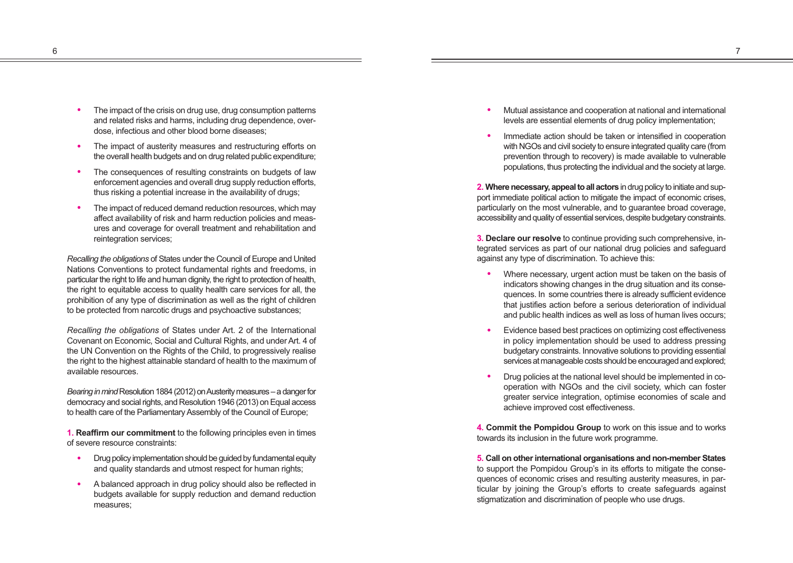- The impact of the crisis on drug use, drug consumption patterns and related risks and harms, including drug dependence, overdose, infectious and other blood borne diseases;
- The impact of austerity measures and restructuring efforts on the overall health budgets and on drug related public expenditure;
- The consequences of resulting constraints on budgets of law enforcement agencies and overall drug supply reduction efforts, thus risking a potential increase in the availability of drugs;
- The impact of reduced demand reduction resources, which may affect availability of risk and harm reduction policies and measures and coverage for overall treatment and rehabilitation and reintegration services;

*Recalling the obligations* of States under the Council of Europe and United Nations Conventions to protect fundamental rights and freedoms, in particular the right to life and human dignity, the right to protection of health, the right to equitable access to quality health care services for all, the prohibition of any type of discrimination as well as the right of children to be protected from narcotic drugs and psychoactive substances;

*Recalling the obligations* of States under Art. 2 of the International Covenant on Economic, Social and Cultural Rights, and under Art. 4 of the UN Convention on the Rights of the Child, to progressively realise the right to the highest attainable standard of health to the maximum of available resources.

*Bearing in mind* Resolution 1884 (2012) on Austerity measures – a danger for democracy and social rights, and Resolution 1946 (2013) on Equal access to health care of the Parliamentary Assembly of the Council of Europe;

**1. Reaffirm our commitment** to the following principles even in times of severe resource constraints:

- Drug policy implementation should be quided by fundamental equity and quality standards and utmost respect for human rights;
- A balanced approach in drug policy should also be reflected in budgets available for supply reduction and demand reduction measures;
- <sup>n</sup> Mutual assistance and cooperation at national and international levels are essential elements of drug policy implementation;
- Immediate action should be taken or intensified in cooperation with NGOs and civil society to ensure integrated quality care (from prevention through to recovery) is made available to vulnerable populations, thus protecting the individual and the society at large.

**2. Where necessary, appeal to all actors** in drug policy to initiate and support immediate political action to mitigate the impact of economic crises, particularly on the most vulnerable, and to guarantee broad coverage, accessibility and quality of essential services, despite budgetary constraints.

**3. Declare our resolve** to continue providing such comprehensive, integrated services as part of our national drug policies and safeguard against any type of discrimination. To achieve this:

- Where necessary, urgent action must be taken on the basis of indicators showing changes in the drug situation and its consequences. In some countries there is already sufficient evidence that justifies action before a serious deterioration of individual and public health indices as well as loss of human lives occurs;
- Evidence based best practices on optimizing cost effectiveness in policy implementation should be used to address pressing budgetary constraints. Innovative solutions to providing essential services at manageable costs should be encouraged and explored;
- Drug policies at the national level should be implemented in cooperation with NGOs and the civil society, which can foster greater service integration, optimise economies of scale and achieve improved cost effectiveness.

**4. Commit the Pompidou Group** to work on this issue and to works towards its inclusion in the future work programme.

**5. Call on other international organisations and non-member States** to support the Pompidou Group's in its efforts to mitigate the consequences of economic crises and resulting austerity measures, in particular by joining the Group's efforts to create safeguards against stigmatization and discrimination of people who use drugs.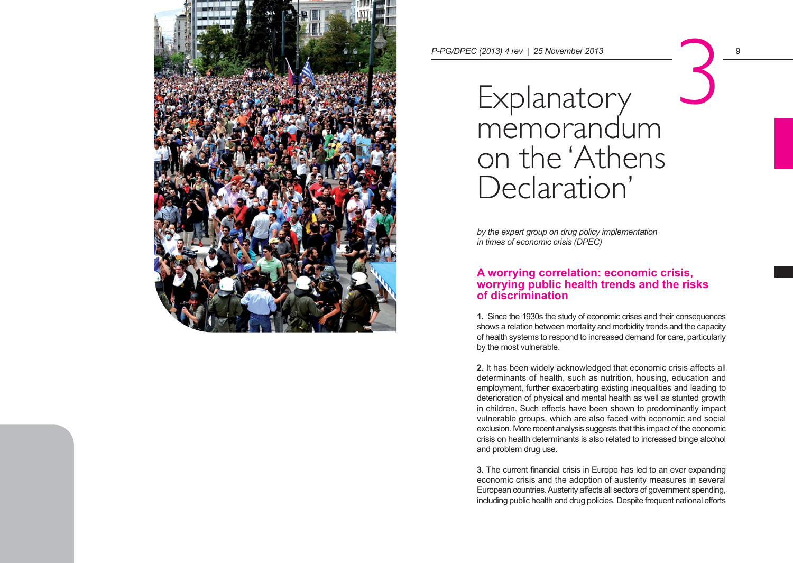

Explanatory memorandum on the 'Athens Declaration' P-PG/DPEC (2013) 4 rev | 25 November 2013<br>
Explanatory<br>
momorandum

> *by the expert group on drug policy implementation in times of economic crisis (DPEC)*

# **A worrying correlation: economic crisis, worrying public health trends and the risks of discrimination**

**1.** Since the 1930s the study of economic crises and their consequences shows a relation between mortality and morbidity trends and the capacity of health systems to respond to increased demand for care, particularly by the most vulnerable.

**2.** It has been widely acknowledged that economic crisis affects all determinants of health, such as nutrition, housing, education and employment, further exacerbating existing inequalities and leading to deterioration of physical and mental health as well as stunted growth in children. Such effects have been shown to predominantly impact vulnerable groups, which are also faced with economic and social exclusion. More recent analysis suggests that this impact of the economic crisis on health determinants is also related to increased binge alcohol and problem drug use.

**3.** The current financial crisis in Europe has led to an ever expanding economic crisis and the adoption of austerity measures in several European countries. Austerity affects all sectors of government spending, including public health and drug policies. Despite frequent national efforts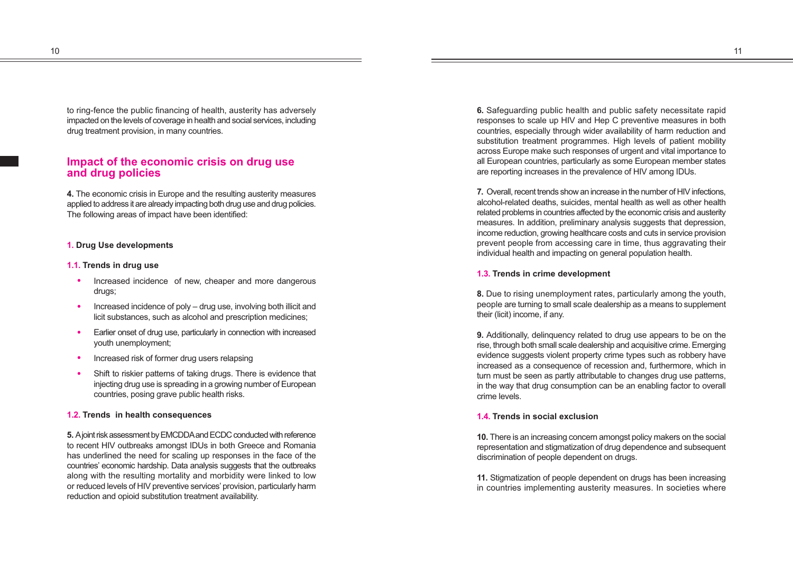10  $\hspace{1.5cm}$  11  $\hspace{1.5cm}$  11  $\hspace{1.5cm}$  11  $\hspace{1.5cm}$  11  $\hspace{1.5cm}$  11  $\hspace{1.5cm}$  11  $\hspace{1.5cm}$  11

to ring-fence the public financing of health, austerity has adversely impacted on the levels of coverage in health and social services, including drug treatment provision, in many countries.

# **Impact of the economic crisis on drug use and drug policies**

**4.** The economic crisis in Europe and the resulting austerity measures applied to address it are already impacting both drug use and drug policies. The following areas of impact have been identified:

# **1. Drug Use developments**

#### **1.1. Trends in drug use**

- Increased incidence of new, cheaper and more dangerous drugs;
- $\bullet$  Increased incidence of poly drug use, involving both illicit and licit substances, such as alcohol and prescription medicines;
- Earlier onset of drug use, particularly in connection with increased youth unemployment;
- Increased risk of former drug users relapsing
- Shift to riskier patterns of taking drugs. There is evidence that injecting drug use is spreading in a growing number of European countries, posing grave public health risks.

### **1.2. Trends in health consequences**

**5.** A joint risk assessment by EMCDDA and ECDC conducted with reference to recent HIV outbreaks amongst IDUs in both Greece and Romania has underlined the need for scaling up responses in the face of the countries' economic hardship. Data analysis suggests that the outbreaks along with the resulting mortality and morbidity were linked to low or reduced levels of HIV preventive services' provision, particularly harm reduction and opioid substitution treatment availability.

**6.** Safeguarding public health and public safety necessitate rapid responses to scale up HIV and Hep C preventive measures in both countries, especially through wider availability of harm reduction and substitution treatment programmes. High levels of patient mobility across Europe make such responses of urgent and vital importance to all European countries, particularly as some European member states are reporting increases in the prevalence of HIV among IDUs.

**7.** Overall, recent trends show an increase in the number of HIV infections, alcohol-related deaths, suicides, mental health as well as other health related problems in countries affected by the economic crisis and austerity measures. In addition, preliminary analysis suggests that depression, income reduction, growing healthcare costs and cuts in service provision prevent people from accessing care in time, thus aggravating their individual health and impacting on general population health.

#### **1.3. Trends in crime development**

**8.** Due to rising unemployment rates, particularly among the youth, people are turning to small scale dealership as a means to supplement their (licit) income, if any.

**9.** Additionally, delinquency related to drug use appears to be on the rise, through both small scale dealership and acquisitive crime. Emerging evidence suggests violent property crime types such as robbery have increased as a consequence of recession and, furthermore, which in turn must be seen as partly attributable to changes drug use patterns, in the way that drug consumption can be an enabling factor to overall crime levels.

# **1.4. Trends in social exclusion**

**10.** There is an increasing concern amongst policy makers on the social representation and stigmatization of drug dependence and subsequent discrimination of people dependent on drugs.

**11.** Stigmatization of people dependent on drugs has been increasing in countries implementing austerity measures. In societies where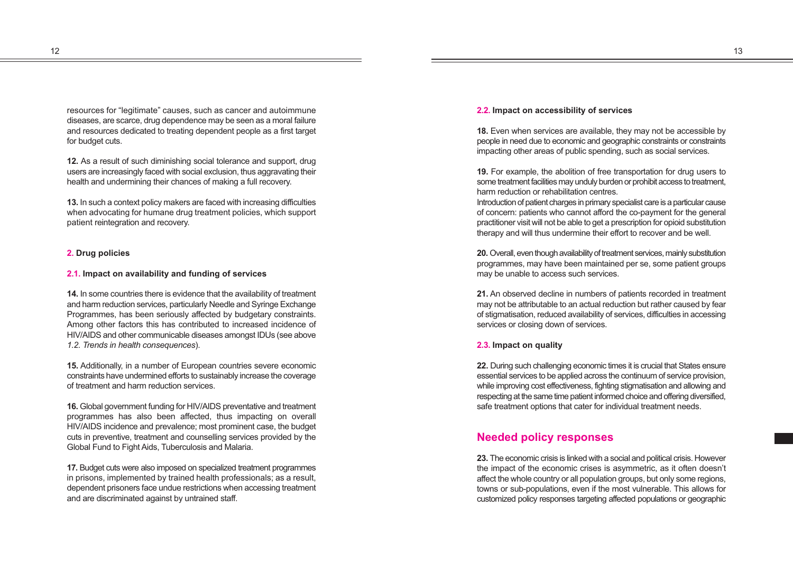12  $\hspace{1.5cm}$  13  $\hspace{1.5cm}$  13  $\hspace{1.5cm}$  13  $\hspace{1.5cm}$  13  $\hspace{1.5cm}$  13  $\hspace{1.5cm}$  13  $\hspace{1.5cm}$  13  $\hspace{1.5cm}$  13  $\hspace{1.5cm}$  13  $\hspace{1.5cm}$  13  $\hspace{1.5cm}$  13  $\hspace{1.5cm}$  13  $\hspace{1.5cm}$  13  $\hspace{1.5cm}$  13  $\hspace{1.5$ 

resources for "legitimate" causes, such as cancer and autoimmune diseases, are scarce, drug dependence may be seen as a moral failure and resources dedicated to treating dependent people as a first target for budget cuts.

**12.** As a result of such diminishing social tolerance and support, drug users are increasingly faced with social exclusion, thus aggravating their health and undermining their chances of making a full recovery.

**13.** In such a context policy makers are faced with increasing difficulties when advocating for humane drug treatment policies, which support patient reintegration and recovery.

#### **2. Drug policies**

#### **2.1. Impact on availability and funding of services**

**14.** In some countries there is evidence that the availability of treatment and harm reduction services, particularly Needle and Syringe Exchange Programmes, has been seriously affected by budgetary constraints. Among other factors this has contributed to increased incidence of HIV/AIDS and other communicable diseases amongst IDUs (see above *1.2. Trends in health consequences*).

**15.** Additionally, in a number of European countries severe economic constraints have undermined efforts to sustainably increase the coverage of treatment and harm reduction services.

**16.** Global government funding for HIV/AIDS preventative and treatment programmes has also been affected, thus impacting on overall HIV/AIDS incidence and prevalence; most prominent case, the budget cuts in preventive, treatment and counselling services provided by the Global Fund to Fight Aids, Tuberculosis and Malaria.

**17.** Budget cuts were also imposed on specialized treatment programmes in prisons, implemented by trained health professionals; as a result, dependent prisoners face undue restrictions when accessing treatment and are discriminated against by untrained staff.

# **2.2. Impact on accessibility of services**

**18.** Even when services are available, they may not be accessible by people in need due to economic and geographic constraints or constraints impacting other areas of public spending, such as social services.

**19.** For example, the abolition of free transportation for drug users to some treatment facilities may unduly burden or prohibit access to treatment, harm reduction or rehabilitation centres.

Introduction of patient charges in primary specialist care is a particular cause of concern: patients who cannot afford the co-payment for the general practitioner visit will not be able to get a prescription for opioid substitution therapy and will thus undermine their effort to recover and be well.

**20.** Overall, even though availability of treatment services, mainly substitution programmes, may have been maintained per se, some patient groups may be unable to access such services.

**21.** An observed decline in numbers of patients recorded in treatment may not be attributable to an actual reduction but rather caused by fear of stigmatisation, reduced availability of services, difficulties in accessing services or closing down of services.

#### **2.3. Impact on quality**

**22.** During such challenging economic times it is crucial that States ensure essential services to be applied across the continuum of service provision, while improving cost effectiveness, fighting stigmatisation and allowing and respecting at the same time patient informed choice and offering diversified, safe treatment options that cater for individual treatment needs.

# **Needed policy responses**

**23.** The economic crisis is linked with a social and political crisis. However the impact of the economic crises is asymmetric, as it often doesn't affect the whole country or all population groups, but only some regions, towns or sub-populations, even if the most vulnerable. This allows for customized policy responses targeting affected populations or geographic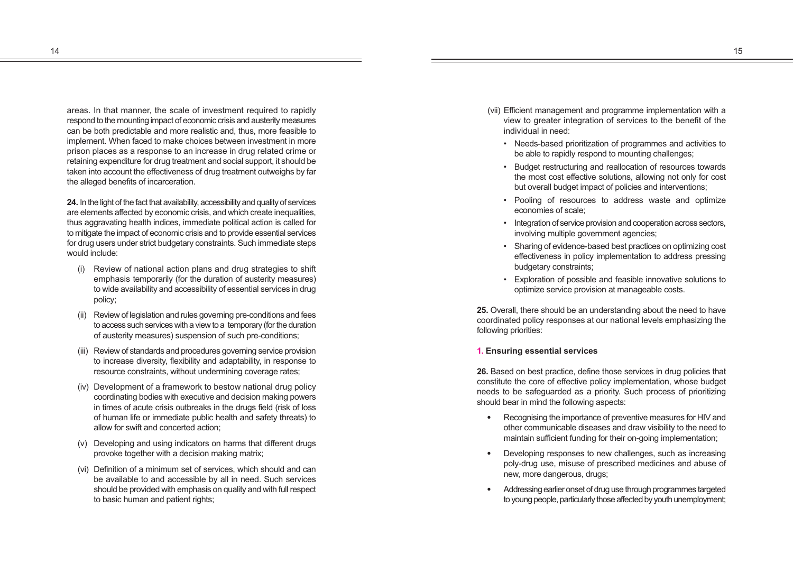areas. In that manner, the scale of investment required to rapidly respond to the mounting impact of economic crisis and austerity measures can be both predictable and more realistic and, thus, more feasible to implement. When faced to make choices between investment in more prison places as a response to an increase in drug related crime or retaining expenditure for drug treatment and social support, it should be taken into account the effectiveness of drug treatment outweighs by far the alleged benefits of incarceration.

**24.** In the light of the fact that availability, accessibility and quality of services are elements affected by economic crisis, and which create inequalities, thus aggravating health indices, immediate political action is called for to mitigate the impact of economic crisis and to provide essential services for drug users under strict budgetary constraints. Such immediate steps would include:

- (i) Review of national action plans and drug strategies to shift emphasis temporarily (for the duration of austerity measures) to wide availability and accessibility of essential services in drug policy;
- (ii) Review of legislation and rules governing pre-conditions and fees to access such services with a view to a temporary (for the duration of austerity measures) suspension of such pre-conditions;
- (iii) Review of standards and procedures governing service provision to increase diversity, flexibility and adaptability, in response to resource constraints, without undermining coverage rates;
- (iv) Development of a framework to bestow national drug policy coordinating bodies with executive and decision making powers in times of acute crisis outbreaks in the drugs field (risk of loss of human life or immediate public health and safety threats) to allow for swift and concerted action;
- (v) Developing and using indicators on harms that different drugs provoke together with a decision making matrix;
- (vi) Definition of a minimum set of services, which should and can be available to and accessible by all in need. Such services should be provided with emphasis on quality and with full respect to basic human and patient rights;
- (vii) Efficient management and programme implementation with a view to greater integration of services to the benefit of the individual in need:
	- Needs-based prioritization of programmes and activities to be able to rapidly respond to mounting challenges;
	- Budget restructuring and reallocation of resources towards the most cost effective solutions, allowing not only for cost but overall budget impact of policies and interventions;
	- Pooling of resources to address waste and optimize economies of scale;
	- Integration of service provision and cooperation across sectors, involving multiple government agencies;
	- Sharing of evidence-based best practices on optimizing cost effectiveness in policy implementation to address pressing budgetary constraints;
	- Exploration of possible and feasible innovative solutions to optimize service provision at manageable costs.

**25.** Overall, there should be an understanding about the need to have coordinated policy responses at our national levels emphasizing the following priorities:

# **1. Ensuring essential services**

**26.** Based on best practice, define those services in drug policies that constitute the core of effective policy implementation, whose budget needs to be safeguarded as a priority. Such process of prioritizing should bear in mind the following aspects:

- Recognising the importance of preventive measures for HIV and other communicable diseases and draw visibility to the need to maintain sufficient funding for their on-going implementation;
- Developing responses to new challenges, such as increasing poly-drug use, misuse of prescribed medicines and abuse of new, more dangerous, drugs;
- Addressing earlier onset of drug use through programmes targeted to young people, particularly those affected by youth unemployment;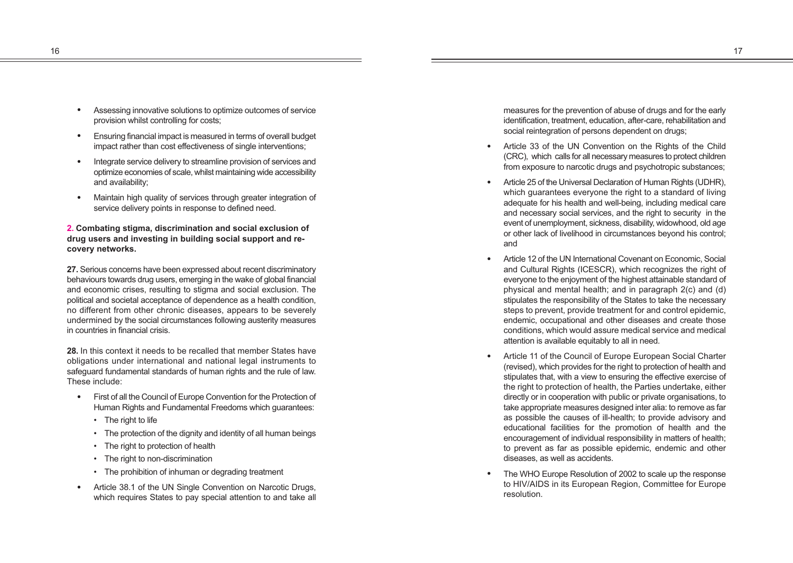- Assessing innovative solutions to optimize outcomes of service provision whilst controlling for costs;
- Ensuring financial impact is measured in terms of overall budget impact rather than cost effectiveness of single interventions;
- Integrate service delivery to streamline provision of services and optimize economies of scale, whilst maintaining wide accessibility and availability;
- Maintain high quality of services through greater integration of service delivery points in response to defined need.

**2. Combating stigma, discrimination and social exclusion of drug users and investing in building social support and recovery networks.**

**27.** Serious concerns have been expressed about recent discriminatory behaviours towards drug users, emerging in the wake of global financial and economic crises, resulting to stigma and social exclusion. The political and societal acceptance of dependence as a health condition, no different from other chronic diseases, appears to be severely undermined by the social circumstances following austerity measures in countries in financial crisis.

**28.** In this context it needs to be recalled that member States have obligations under international and national legal instruments to safeguard fundamental standards of human rights and the rule of law. These include:

- First of all the Council of Europe Convention for the Protection of Human Rights and Fundamental Freedoms which guarantees:
	- The right to life
	- The protection of the dignity and identity of all human beings
	- The right to protection of health
	- The right to non-discrimination
	- The prohibition of inhuman or degrading treatment
- Article 38.1 of the UN Single Convention on Narcotic Drugs, which requires States to pay special attention to and take all

measures for the prevention of abuse of drugs and for the early identification, treatment, education, after-care, rehabilitation and social reintegration of persons dependent on drugs:

- Article 33 of the UN Convention on the Rights of the Child (CRC), which calls for all necessary measures to protect children from exposure to narcotic drugs and psychotropic substances;
- Article 25 of the Universal Declaration of Human Rights (UDHR). which guarantees everyone the right to a standard of living adequate for his health and well-being, including medical care and necessary social services, and the right to security in the event of unemployment, sickness, disability, widowhood, old age or other lack of livelihood in circumstances beyond his control; and
- Article 12 of the UN International Covenant on Economic, Social and Cultural Rights (ICESCR), which recognizes the right of everyone to the enjoyment of the highest attainable standard of physical and mental health; and in paragraph 2(c) and (d) stipulates the responsibility of the States to take the necessary steps to prevent, provide treatment for and control epidemic, endemic, occupational and other diseases and create those conditions, which would assure medical service and medical attention is available equitably to all in need.
- Article 11 of the Council of Europe European Social Charter (revised), which provides for the right to protection of health and stipulates that, with a view to ensuring the effective exercise of the right to protection of health, the Parties undertake, either directly or in cooperation with public or private organisations, to take appropriate measures designed inter alia: to remove as far as possible the causes of ill-health; to provide advisory and educational facilities for the promotion of health and the encouragement of individual responsibility in matters of health; to prevent as far as possible epidemic, endemic and other diseases, as well as accidents.
- The WHO Europe Resolution of 2002 to scale up the response to HIV/AIDS in its European Region, Committee for Europe resolution.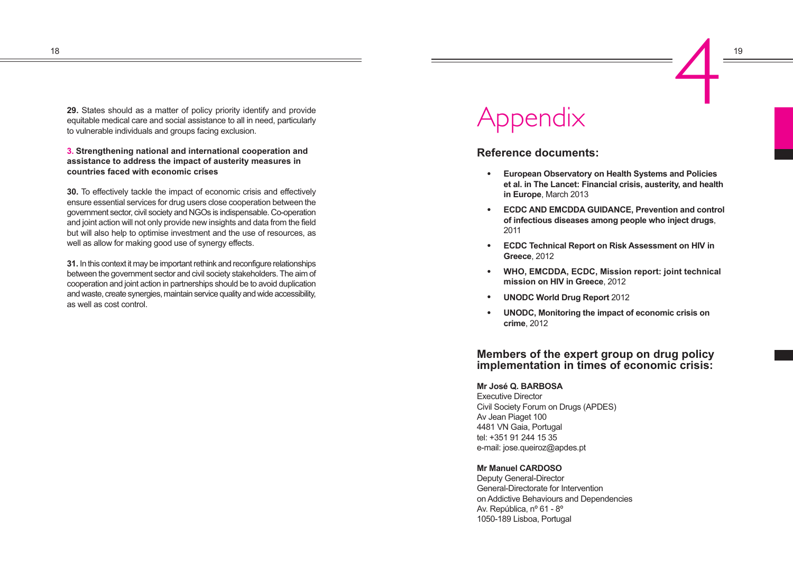**29.** States should as a matter of policy priority identify and provide equitable medical care and social assistance to all in need, particularly to vulnerable individuals and groups facing exclusion.

**3. Strengthening national and international cooperation and assistance to address the impact of austerity measures in countries faced with economic crises** 

**30.** To effectively tackle the impact of economic crisis and effectively ensure essential services for drug users close cooperation between the government sector, civil society and NGOs is indispensable. Co-operation and joint action will not only provide new insights and data from the field but will also help to optimise investment and the use of resources, as well as allow for making good use of synergy effects.

**31.** In this context it may be important rethink and reconfigure relationships between the government sector and civil society stakeholders. The aim of cooperation and joint action in partnerships should be to avoid duplication and waste, create synergies, maintain service quality and wide accessibility, as well as cost control.

# Appendix

# **Reference documents:**

- <sup>n</sup> **European Observatory on Health Systems and Policies et al. in The Lancet: Financial crisis, austerity, and health in Europe**, March 2013
- **ECDC AND EMCDDA GUIDANCE, Prevention and control of infectious diseases among people who inject drugs** , 2011
- **ECDC Technical Report on Risk Assessment on HIV in Greece**, 2012
- <sup>n</sup> **WHO, EMCDDA, ECDC, Mission report: joint technical mission on HIV in Greece**, 2012
- **UNODC World Drug Report 2012**
- **UNODC, Monitoring the impact of economic crisis on crime**, 2012

# **Members of the expert group on drug policy implementation in times of economic crisis:**

# **Mr José Q. BARBOSA**

Executive Director Civil Society Forum on Drugs (APDES) Av Jean Piaget 100 4481 VN Gaia, Portugal tel: +351 91 244 15 35 e-mail: jose.queiroz@apdes.pt

# **Mr Manuel CARDOSO**

Deputy General-Director General-Directorate for Intervention on Addictive Behaviours and Dependencies Av. República, nº 61 - 8º 1050-189 Lisboa, Portugal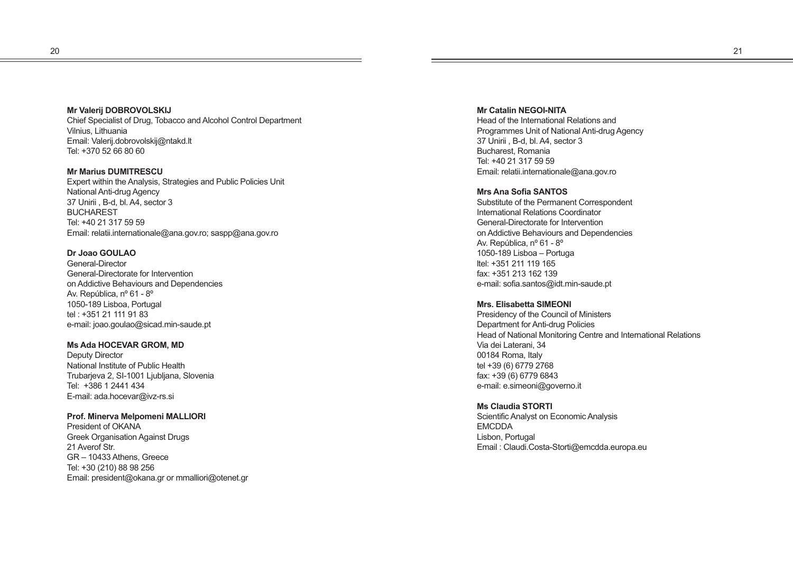# **Mr Valerij DOBROVOLSKIJ**

Chief Specialist of Drug, Tobacco and Alcohol Control Department Vilnius, Lithuania Email: Valerij.dobrovolskij@ntakd.lt Tel: +370 52 66 80 60

**Mr Marius DUMITRESCU** Expert within the Analysis, Strategies and Public Policies Unit National Anti-drug Agency 37 Unirii , B-d, bl. A4, sector 3 **BUCHAREST** Tel: +40 21 317 59 59 Email: relatii.internationale@ana.gov.ro; saspp@ana.gov.ro

# **Dr Joao GOULAO**

General-Director General-Directorate for Intervention on Addictive Behaviours and Dependencies Av. República, nº 61 - 8º 1050-189 Lisboa, Portugal tel : +351 21 111 91 83 e-mail: joao.goulao@sicad.min-saude.pt

# **Ms Ada HOCEVAR GROM, MD**

Deputy Director National Institute of Public Health Trubarjeva 2, SI-1001 Ljubljana, Slovenia Tel: +386 1 2441 434 E-mail: ada.hocevar@ivz-rs.si

# **Prof. Minerva Melpomeni MALLIORI**

President of OKANA Greek Organisation Against Drugs 21 Averof Str. GR – 10433 Athens, Greece Tel: +30 (210) 88 98 256 Email: president@okana.gr or mmalliori@otenet.gr **Mr Catalin NEGOI-NITA**  Head of the International Relations and Programmes Unit of National Anti-drug Agency 37 Unirii , B-d, bl. A4, sector 3 Bucharest, Romania Tel: +40 21 317 59 59 Email: relatii.internationale@ana.gov.ro

#### **Mrs Ana Sofia SANTOS**

Substitute of the Permanent Correspondent International Relations Coordinator General-Directorate for Intervention on Addictive Behaviours and Dependencies Av. República, nº 61 - 8º 1050-189 Lisboa – Portuga ltel: +351 211 119 165 fax: +351 213 162 139 e-mail: sofia.santos@idt.min-saude.pt

#### **Mrs. Elisabetta SIMEONI**

Presidency of the Council of Ministers Department for Anti-drug Policies Head of National Monitoring Centre and International Relations Via dei Laterani, 34 00184 Roma, Italy tel +39 (6) 6779 2768 fax: +39 (6) 6779 6843 e-mail: e.simeoni@governo.it

# **Ms Claudia STORTI**

Scientific Analyst on Economic Analysis EMCDDA Lisbon, Portugal Email : Claudi.Costa-Storti@emcdda.europa.eu